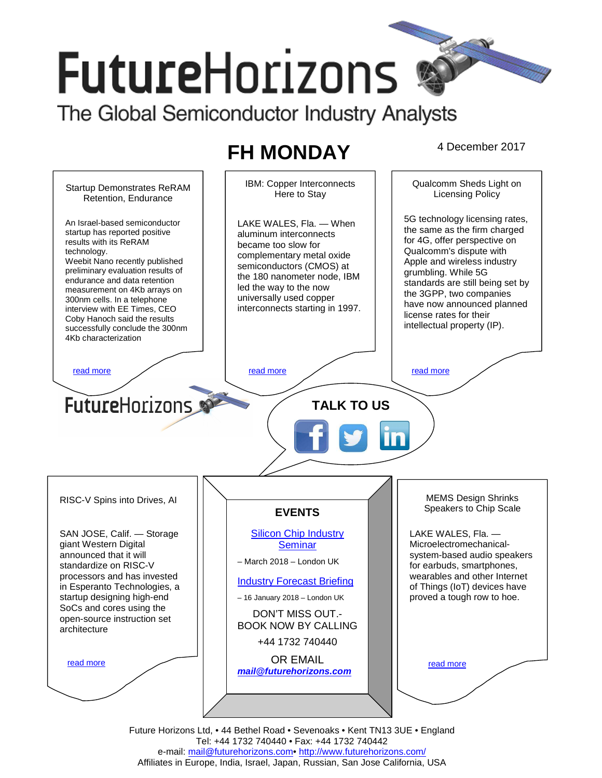# **FutureHorizons**

The Global Semiconductor Industry Analysts

# **FH MONDAY** 4 December 2017

IBM: Copper Interconnects Qualcomm Sheds Light on Startup Demonstrates ReRAM Here to Stay Licensing Policy Retention, Endurance 5G technology licensing rates, An Israel-based semiconductor LAKE WALES, Fla. — When the same as the firm charged startup has reported positive aluminum interconnects for 4G, offer perspective on became too slow for Qualcomm's dispute with complementary metal oxide Weebit Nano recently published Apple and wireless industry semiconductors (CMOS) at preliminary evaluation results of grumbling. While 5G the 180 nanometer node, IBM endurance and data retention standards are still being set by led the way to the now measurement on 4Kb arrays on the 3GPP, two companies universally used copper have now announced planned interconnects starting in 1997. interview with EE Times, CEO license rates for their Coby Hanoch said the results intellectual property (IP). successfully conclude the 300nm read more the contract of the read more that the read more that the read more that  $\sim$  read more **FutureHorizons TALK TO US** 

RISC-V Spins into Drives, AI

results with its ReRAM

300nm cells. In a telephone

4Kb characterization

technology.

SAN JOSE, Calif. — Storage giant Western Digital announced that it will standardize on RISC-V processors and has invested in Esperanto Technologies, a startup designing high-end SoCs and cores using the open-source instruction set architecture

read more

**EVENTS** 

Silicon Chip Industry **Seminar** 

– March 2018 – London UK

# Industry Forecast Briefing

– 16 January 2018 – London UK

DON'T MISS OUT.- BOOK NOW BY CALLING

+44 1732 740440

OR EMAIL

**mail@futurehorizons.com**

MEMS Design Shrinks Speakers to Chip Scale

LAKE WALES, Fla. — Microelectromechanicalsystem-based audio speakers for earbuds, smartphones, wearables and other Internet of Things (IoT) devices have proved a tough row to hoe.

read more

Future Horizons Ltd, • 44 Bethel Road • Sevenoaks • Kent TN13 3UE • England Tel: +44 1732 740440 • Fax: +44 1732 740442 e-mail: mail@futurehorizons.com• http://www.futurehorizons.com/ Affiliates in Europe, India, Israel, Japan, Russian, San Jose California, USA